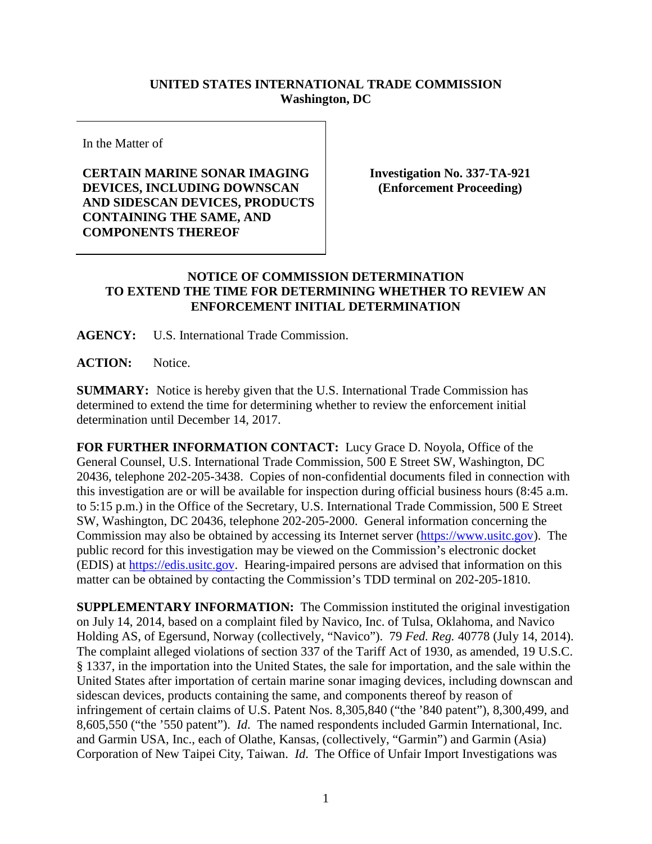## **UNITED STATES INTERNATIONAL TRADE COMMISSION Washington, DC**

In the Matter of

**CERTAIN MARINE SONAR IMAGING DEVICES, INCLUDING DOWNSCAN AND SIDESCAN DEVICES, PRODUCTS CONTAINING THE SAME, AND COMPONENTS THEREOF**

**Investigation No. 337-TA-921 (Enforcement Proceeding)**

## **NOTICE OF COMMISSION DETERMINATION TO EXTEND THE TIME FOR DETERMINING WHETHER TO REVIEW AN ENFORCEMENT INITIAL DETERMINATION**

**AGENCY:** U.S. International Trade Commission.

ACTION: Notice.

**SUMMARY:** Notice is hereby given that the U.S. International Trade Commission has determined to extend the time for determining whether to review the enforcement initial determination until December 14, 2017.

**FOR FURTHER INFORMATION CONTACT:** Lucy Grace D. Noyola, Office of the General Counsel, U.S. International Trade Commission, 500 E Street SW, Washington, DC 20436, telephone 202-205-3438. Copies of non-confidential documents filed in connection with this investigation are or will be available for inspection during official business hours (8:45 a.m. to 5:15 p.m.) in the Office of the Secretary, U.S. International Trade Commission, 500 E Street SW, Washington, DC 20436, telephone 202-205-2000. General information concerning the Commission may also be obtained by accessing its Internet server [\(https://www.usitc.gov\)](https://www.usitc.gov/). The public record for this investigation may be viewed on the Commission's electronic docket (EDIS) at [https://edis.usitc.gov.](https://edis.usitc.gov/) Hearing-impaired persons are advised that information on this matter can be obtained by contacting the Commission's TDD terminal on 202-205-1810.

**SUPPLEMENTARY INFORMATION:** The Commission instituted the original investigation on July 14, 2014, based on a complaint filed by Navico, Inc. of Tulsa, Oklahoma, and Navico Holding AS, of Egersund, Norway (collectively, "Navico"). 79 *Fed. Reg.* 40778 (July 14, 2014). The complaint alleged violations of section 337 of the Tariff Act of 1930, as amended, 19 U.S.C. § 1337, in the importation into the United States, the sale for importation, and the sale within the United States after importation of certain marine sonar imaging devices, including downscan and sidescan devices, products containing the same, and components thereof by reason of infringement of certain claims of U.S. Patent Nos. 8,305,840 ("the '840 patent"), 8,300,499, and 8,605,550 ("the '550 patent"). *Id*. The named respondents included Garmin International, Inc. and Garmin USA, Inc., each of Olathe, Kansas, (collectively, "Garmin") and Garmin (Asia) Corporation of New Taipei City, Taiwan. *Id*. The Office of Unfair Import Investigations was